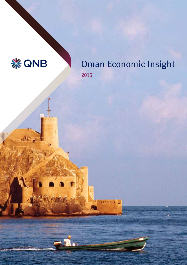

LE-

 $\mathbf \Gamma$ 

meene.

# **Oman Economic Insight** 2013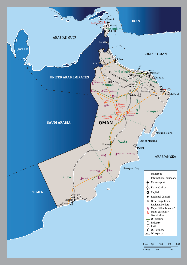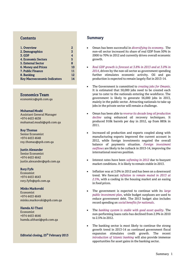#### **Contents**

| 1. Overview                         | 2  |
|-------------------------------------|----|
| 2. Demographics                     | 3  |
| <b>3. GDP</b>                       | 4  |
| 4. Economic Sectors                 | 5  |
| <b>5. External Sector</b>           | 8  |
| 6. Money and Prices                 | 10 |
| 7. Public Finance                   | 11 |
| 8. Banking                          | 12 |
| <b>Key Macroeconomic Indicators</b> | 14 |

#### Economics Team

economics@qnb.com.qa

#### Mohamad Moabi

Assistant General Manager +974 4453 4638 mohamad.moabi@qnb.com.qa

#### Roy Thomas

Senior Economist +974 4453 4648 roy.thomas@qnb.com.qa

#### Justin Alexander

Senior Economist +974 4453 4642 justin.alexander@qnb.com.qa

#### Rory Fyfe

Economist +974 4453 4643 rory.fyfe@qnb.com.qa

#### Minko Markovski

Economist +974 4453 4649 minko.markovski@qnb.com.qa

#### Hamda Al-Thani

Economist +974 4453 4646 hamda.althani@qnb.com.qa

#### Editorial closing, 25<sup>th</sup> February 2013

#### **Summary**

- Oman has been successful in *diversifying its economy*. The non-oil sector increased its share of real GDP from 50% in 2000 to 70% in 2012 and currently drives overall economic growth.
- *Real GDP growth is forecast at 3.8% in 2013 and at 3.0% in 2014*, driven by the non-oil sector as government spending further stimulates economic activity. Oil and gas production is expected to remain largely flat in 2013-14.
- The Government is committed to *creating jobs for Omanis*. It is estimated that 50,000 jobs need to be created each year to cater to the nationals entering the workforce. The government is likely to generate 56,000 jobs in 2013, mainly in the public sector. Attracting nationals to take up jobs in the private sector will remain a challenge.
- Oman has been able to *reverse its decade long oil production decline* using enhanced oil recovery techniques. It produced 918k barrels per day in 2012, up from 885k in 2011.
- Increased oil production and exports coupled along with manufacturing exports improved the current account in 2012, while foreign investments negated the overall balance of payments situation. *Foreign investment outflows* are likely to be cutback in 2013-14, improving the international reserves position.
- Interest rates have been *softening in 2012* due to buoyant market conditions. It is likely to remain stable in 2013.
- Inflation was at 3.0% in 2012 and has been on a downward trend. We forecast *inflation to remain muted in 2013 at 2.5%*, with a cooling in the housing market and an easing in food prices.
- The government is expected to continue with its *large public investment plan*, while budget surpluses are used to reduce government debt. The 2013 budget also includes record spending on *social benefits for nationals*.
- The *banking system is stable with good asset quality*. The non-performing loans ratio has declined from 2.9% in 2010 to 2.5% in 2012.
- The banking sector is most likely to continue the strong growth trend in 2013-14 as continued government fiscal expansion stimulates credit growth. The recent *introduction of Islamic banking* will also provide immense opportunities for asset gains in the banking sector.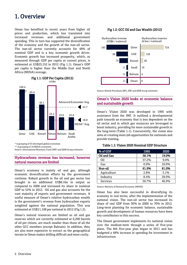# 1. Overview

Oman has benefited in recent years from higher oil prices and production, which has translated into increased revenues and additional government spending. This in turn has supported the diversification of the economy and the growth of the non-oil sector. The non-oil sector currently accounts for 48% of nominal GDP and is a key economic growth driver. Economic growth has increased prosperity, which, as measured through GDP per capita at current prices, is estimated at US\$25,152 in 2012 (Fig 1.1). Oman's GDP per capita is higher than the Middle East and North Africa (MENA) average.



Fig 1.1: GDP Per Capita (2012)

\* A grouping of 35 developed global economies

\*\* A grouping of 19 MENA economies

Source: International Monetary Fund (IMF) and QNB Group estimates

#### Hydrocarbons revenue has increased, however natural resources are limited

Oman's economy is mainly oil and gas, although economic diversification efforts by the government continue. Robust growth in the oil and gas sector has brought in an additional US\$8.1bn in output as compared to 2008 and increased its share in nominal GDP to 52% in 2012. Oil and gas also accounts for the vast majority of exports and government revenues. A useful measure of Oman's relative hydrocarbon wealth is the government's revenue from hydrocarbon exports weighted against the national population. This was estimated at US\$11,108 per national in 2012 (Fig 1.2).

Oman's natural resources are limited as oil and gas reserves which are currently estimated at 6,200 barrels of oil per citizen, are much smaller than those of all the other GCC members (except Bahrain). In addition, they are also more expensive to extract as the geographical terrain in Oman makes drilling difficult and more costly.

#### Fig 1.2: GCC Oil and Gas Wealth (2012)



Source: British Petroleum (BP), IMF and QNB Group estimates

#### Oman's Vision 2020 looks at economic balance and sustainable growth

Oman's Vision 2020 was developed in 1995 with assistance from the IMF. It outlined a developmental path towards an economy that is less dependent on the oil sector and in which gas resources are leveraged to boost industry, providing for more sustainable growth in the long-term (Table 1.1). Concurrently, the vision also aims at creating more job opportunities for nationals and provide training.

#### Table 1.1: Vision 2020 Nominal GDP Structure

| % of GDP    | 1995  | 2020  |  |  |
|-------------|-------|-------|--|--|
| Oil and Gas | 38.1% | 19.0% |  |  |
| Oil         | 37.2% | 9.0%  |  |  |
| Gas         | 0.9%  | 10.0% |  |  |
| Non-oil     | 61.9% | 81.0% |  |  |
| Agriculture | 2.8%  | 5.1%  |  |  |
| Industry    | 8.4%  | 29.0% |  |  |
| Services    | 50.7% | 46.9% |  |  |

Source: Ministry of National Economy (MONE)

Oman has also been successful in diversifying its economy in real terms, after the implementation of the national vision. The non-oil sector has increased its share of real GDP from 50% in 2000 to 70% in 2012. Long-term planning for economic balance, sustainable growth and development of human resources have been key contributors to this success.

The Omani government implements its national vision over the medium-term through a series of five-year plans. The 8th five-year plan began in 2011 and has budgeted a 48% increase in spending for investment in infrastructure.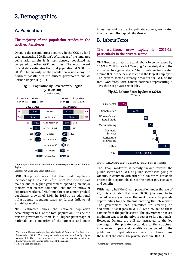# 2. Demographics

### A. Population

#### The majority of the population resides in the northern territories

Oman is the second largest country in the GCC by land area, measuring 309.5k  $km^2$ . With most of the land area being arid terrain it is less densely populated as compared to other GCC countries. The most recent official data estimates the total population at 3.30m in  $2011<sup>1</sup>$ . The majority of the population reside along the northern coastline in the Muscat governorate and Al Batinah Region (Fig 2.1).



\* Al Buraymi Governorate was instituted in 2008 separate from Ad Dhahirah Region

Source: MONE and QNB Group estimates

QNB Group estimates that the total population increased by 11.5% in 2012 $^2$  to 3.68m. The increase was mainly due to higher government spending on major projects that created additional jobs and an inflow of expatriate workers. QNB Group forecasts a more gradual population growth of 5.0% in 2013-14 as additional infrastructure spending leads to further inflows of expatriate workers.

NCSI estimates show the national population accounting for 61% of the total population. Outside the Muscat governorate, there is a higher percentage of nationals as a majority of the projects and main

<sup>1</sup> This is a mid-year estimate from the National Center for Statistics and Information (NCSI). The mid-year estimates are significantly higher compared to the census numbers, largely due to expatriates being on holiday outside the country at the time of the census.

 $2$  This is a year-end estimate.

industries, which attract expatriate workers, are located in and around the capital city Muscat.

### B. Labour Force

#### The workforce grew rapidly in 2011-12, particularly in the private sector

QNB Group estimates the total labour force increased by 13.6% in 2012 to reach 1.79m (Fig 2.2), mainly due to the inflow of foreign workers. The private sector created around 83% of the new jobs and is the largest employer. The private sector currently accounts for 82% of the total workforce, with Omani nationals representing a 12% share of private sector jobs.

Fig 2.2: Labour Force by Sector (2012)



Source: MONE, Central Bank of Oman (CBO) and QNB Group estimates

The Omani workforce is heavily skewed towards the public sector with 92% of public sector jobs going to Omanis. In common with other GCC countries, nationals prefer public sector jobs due to the higher pay packages and benefits.

With nearly half the Omani population under the age of 20, it is estimated that over 50,000 jobs need to be created every year over the next decade to provide opportunities for the Omanis entering the job market. The government has committed to creating an additional 56,000 jobs in 2013<sup>3</sup>, with 36,000 of these coming from the public sector. The government has set minimum wages in the private sector to lure nationals. However, Omanis are still not attracted to the job openings in the private sector due to the structural imbalances in pay and benefits as compared to the public sector. Expatriates are likely to continue filling the bulk of the jobs in the private sector in 2013-14.

 $3$  According to government sources.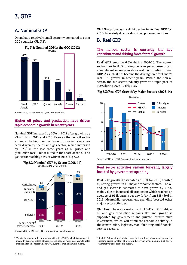# 3. GDP

### A. Nominal GDP

Oman has a relatively small economy compared to other GCC countries (Fig 3.1).



Source: NCSI, MONE, IMF and QNB Group analysis

#### Higher oil prices and production have driven rapid economic growth in recent years

Nominal GDP increased by 10% in 2012 after growing by 23% in both 2011 and 2010. Even as the non-oil sector expands, the high nominal growth in recent years has been driven by the oil and gas sector, which increased by 16%<sup>4</sup> in the last three years as oil prices and production rose. This resulted in the share of the oil and gas sector reaching 52% of GDP in 2012 (Fig 3.2).



### Fig 3.2: Nominal GDP by Sector (2008-14)

Source: NCSI, MONE and QNB Group estimates and forecasts

 $4$  This is the compounded annual growth rate (CAGR), which is a geometric mean. In general, unless otherwise specified, all multi-year growth rates mentioned in this report will be CAGRs, rather than arithmetic means.

QNB Group forecasts a slight decline in nominal GDP for 2013-14, mainly due to a drop in oil price assumptions.

### B. Real GDP

#### The non-oil sector is currently the key contributor and driving force for real growth

Real $^5$  GDP grew by 6.3% during 2006-10. The non-oil sector grew by 8.0% during the same period, resulting in a significant increase in its overall contribution to real GDP. As such, it has become the driving force for Oman's real GDP growth in recent years. Within the non-oil sector, the sub-sector industry grew at a rapid pace of 9.2% during 2006-10 (Fig 3.3).

#### Fig 3.3: Real GDP Growth by Major Sectors (2006-14)



#### Real sector activities remain buoyant, largely boosted by government spending

Real GDP growth is estimated at 6.1% for 2012, boosted by strong growth in all major economic sectors. The oil and gas sector is estimated to have grown by 6.7%, mainly due to increased oil production which reached an average of 918k barrels per day (b/d), from 885k b/d in 2011. Meanwhile, government spending boosted other major sector activities.

QNB Group forecasts real growth of 3.4% in 2013-14, as oil and gas production remains flat and growth is supported by government and private infrastructure investment, which will stimulate economic activity in the construction, logistics, manufacturing and financial services sectors.

<sup>&</sup>lt;sup>5</sup> Real GDP shows the absolute change in the volume of economic output, by keeping prices constant at a certain base year, while nominal GDP shows the total value of economic output.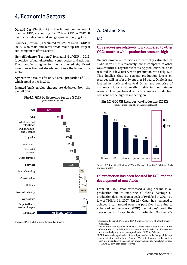# 4. Economic Sectors

Oil and Gas (Section A) is the largest component of nominal GDP, accounting for 52% of GDP in 2012. It mainly includes crude oil and gas production (Fig 4.1).

Services (Section B) accounted for 33% of overall GDP in 2012. Wholesale and retail trade make up the largest sub-component of this sector.

Non-oil Industry (Section C) formed 16% of GDP in 2012. It consists of manufacturing, construction and utilities. The manufacturing sector has witnessed significant growth over the past decade and forms the largest subsector.

Agriculture accounts for only a small proportion of GDP, which stood at 1% in 2012.

Imputed bank service charges are deducted from the overall GDP.



Source: MONE, QNB Group analysis and estimates

### A. Oil and Gas

#### *Oil*

#### Oil reserves are relatively low compared to other GCC countries while production costs are high

Oman's proven oil reserves are currently estimated at 5.5bn barrels<sup>6</sup>. It is relatively low as compared to other GCC countries. Together with rising production, this has resulted in a low reserves to production ratio (Fig 4.2). This implies that at current production levels oil reserves will last for only another 16 years. Oil fields are located in north and central Oman and comprise of disparate clusters of smaller fields in mountainous regions. This geological structure makes production costs one of the highest in the region.



(Years of production at current output levels)



Source: BP Statistical Review of World Energy – June 2012, NBS and QNB Group estimates

#### Oil production has been boosted by EOR and the development of new fields

From 2001-07, Oman witnessed a long decline in oil production due to maturing oil fields. Average oil production declined from a peak of 956k b/d in 2001 to a low of 710k b/d in 2007 (Fig 4.3). Oman has managed to achieve a turnaround over the past five years due to enhanced oil recovery (EOR) techniques $8$  and the development of new fields. In particular, Occidental's

<sup>6</sup> According to British Petroleum (BP) Statistical Review of World Energy – June 2012.

<sup>7</sup> For Bahrain, the reserves include its share with Saudi Arabia in the offshore Abu Safah field, which has around 5bn barrels. This has resulted in the relatively high reserves-to-production (R/P) for Bahrain.

<sup>&</sup>lt;sup>8</sup> EOR involves the application of techniques such as miscible gas injection, steam injection and polymer flooding. These techniques can be used on both mature and new fields, and can improve extraction rates from perhaps 5-15% to 20-30% of in-place reserves.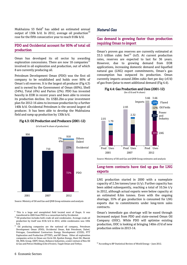Mukhaizna 53 field<sup>9</sup> has added an estimated annual output of 130k b/d. In 2012, average oil production<sup>10</sup> rose for the fifth consecutive year to reach 918k b/d.

#### PDO and Occidental account for 95% of total oil production

Oman has developed its oil sector by awarding exploration concessions. There are now 18 companies $^{11}$ involved in oil exploration and production, out of which 8 are currently producing oil.

Petroleum Development Oman (PDO) was the first oil company to be established and holds over 90% of Oman's oil reserves. It is the largest oil producer (Fig 4.3) and is owned by the Government of Oman (60%), Shell (34%), Total (4%) and Partex (2%). PDO has invested heavily in EOR in recent years and been able to reverse its production decline. Its US\$5.2bn-a-year investment plan for 2012-16 aims to increase production by a further 140k b/d. Occidental Petroleum is the second largest oil producer. It has been able to develop the Mukhaizna field and ramp up production by 130k b/d.



#### Fig 4.3: Oil Production and Producers (2001-12)

(k b/d and % share of production)

#### Source: Ministry of Oil and Gas and QNB Group estimates and analysis

- <sup>9</sup> This is a large and unexploited field located west of Duqm. It was transferred in 2005 from PDO to a consortium led by Occidental.
- $^{\rm 10}$  Oil production includes both crude oil and condensates. Average crude oil production by itself was 813k b/d in 2012, while condensates was 105k b/d.
- <sup>11</sup> Oil producing companies are the national oil company, Petroleum Development Oman (PDO), Occidental Oman, Rak Petroleum, Daleel, Petrogas, Consolidated Contractors Energy Development (CCED), PTT Exploration and Production (PTTEP), and BP Oman. Other oil exploration companies active in Oman are Circle Oil, Epsilon Energy, Hunt Oil, Maersk Oil, MOL Group, OEPC Oman, Reliance Industries, a joint venture of Rex Oil & Gas and Petroci Holding (Côte d'Ivoire), Taqah Oman and Tethys.

### *Natural Gas*

#### Gas demand is growing faster than production requiring Oman to import

Oman's proven gas reserves are currently estimated at 33.5 trillion cubic feet<sup>12</sup> (tcf). At current production rates, reserves are expected to last for 36 years. However, due to growing demand from EOR applications, increasing domestic demand and liquefied natural gas (LNG) export commitments, Oman's gas consumption has outpaced its production. Oman currently imports around 200m cubic feet per day (cf/d) of gas from Qatar to meet additional demand (Fig 4.4).

### Fig 4.4: Gas Production and Uses (2001-12)



Source: Ministry of Oil and Gas and QNB Group estimates and analysis

#### Long-term contracts have tied up gas for LNG exports

LNG production started in 2000 with a nameplate capacity of 2.3m tonnes/year (t/y). Further capacity has been added subsequently, reaching a total of 10.3m t/y in 2012, although actual exports were below capacity at an estimated 8.6m tonnes. Even with the ongoing shortage, 55% of gas production is consumed for LNG exports due to commitments under long-term sales contracts.

Oman's immediate gas shortage will be eased through increased output from PDO and state-owned Oman Oil Company (OOC). While PDO will optimise existing production, OOC is looking at bringing 140m cf/d of new production online in 2013-14.

<sup>12</sup> According to BP Statistical Review of World Energy - June 2012.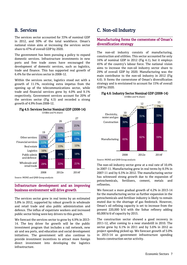### B. Services

The services sector accounted for 33% of nominal GDP in 2012, and 50% of the total workforce. Oman's national vision aims at increasing the services sector share to 47% of overall GDP by 2020.

The government has been pursuing a policy to expand domestic services. Infrastructure investments in new ports and free trade zones have encouraged the development of domestic services, such as logistics, trade and finance. This has supported real growth of 6.4% for the services sector in 2008-12.

Within the services sector, logistics stood out with a growth of 11.1%, receiving extra impetus from the opening up of the telecommunications sector, while trade and financial services grew by 4.0% and 9.1% respectively. Government services account for 20% of the services sector (Fig 4.5) and recorded a strong growth of 4.9% from 2008-12.



Source: MONE and QNB Group analysis

#### Infrastructure development and an improving business environment will drive growth

The services sector grew in real terms by an estimated 5.8% in 2012, supported by robust growth in wholesale and retail trade and also public administration and defence. The influx of expatriate workers and increased public sector hiring were key drivers to this growth.

We forecast the services sector to grow by 4.9% in 2013- 14. The key driver for growth will be the public investment program that includes a rail network, new air and sea ports, and education and social development initiatives. The government will also continue to provide investment incentives to attract more foreign direct investment into developing the logistics infrastructure.

### C. Non-oil Industry

#### Manufacturing forms the cornerstone of Oman's diversification strategy

The non-oil industry consists of manufacturing, construction and utilities. This sector accounted for only 16% of nominal GDP in 2012 (Fig 4.1), but it employs 45% of the country's labour force. The national vision aims to increase the non-oil industry sector share to 29% of overall GDP by 2020. Manufacturing was the main contributor to the non-oil industry in 2012 (Fig 4.6). It forms the cornerstone of Oman's diversification strategy and is envisioned to account for 15% of overall GDP by 2020.

#### Fig 4.6: Industry Sector Nominal GDP (2008-14)



Source: MONE and QNB Group analysis

The non-oil industry sector grew at a real rate of 10.4% in 2007-11. Manufacturing grew in real terms by 8.5% in 2007-11 and by 6.5% in 2012. The manufacturing sector has witnessed strong growth due to the expansion of petrochemicals, fertilisers, cement, metals and refineries.

We forecast a more gradual growth of 4.2% in 2013-14 for the manufacturing sector as further expansion in the petrochemicals and fertiliser industry is likely to remain muted due to the shortage of gas feedstock. However, Oman's oil refining capacity is set to increase from the present 220,000 b/d with the Sohar refinery adding 60,000 b/d of capacity by 2015.

The construction sector showed a good recovery in 2011-12, after coming to a near standstill in 2010. The sector grew by 6.1% in 2011 and by 5.6% in 2012 as project spending picked up. We forecast growth of 5.0% in 2013-14 as government infrastructure spending boosts construction sector activity.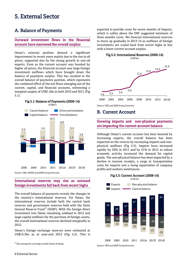## 5. External Sector

### A. Balance of Payments

#### Outward investment flows in the financial account have narrowed the overall surplus

Oman's external position showed a significant improvement in recent years mainly due to the rise in oil prices, supported also by the strong growth in non-oil exports. Even as the current account was boosted by higher oil prices, the financial account saw large foreign investment outflows which have brought down the balance of payments surplus. This has resulted in the overall balance of payments position, which represents the combined effect of the net flows emerging out of the current, capital, and financial accounts, witnessing a marginal surplus of US\$1.5bn in both 2010 and 2011 (Fig 5.1).



#### International reserves may rise as outward foreign investments fall back from recent highs

The overall balance of payments reveals the changes in the country's international reserves. For Oman, the international reserves include both the central bank reserves and government reserves held with the State General Reserve Fund<sup>13</sup> (SGRF). With the foreign direct investment into Oman remaining subdued in 2012 and large capital outflows for the purchase of foreign assets, the overall international reserves declined marginally in 2012.

Oman's foreign exchange reserves were estimated at US\$14.3bn as at year-end 2012 (Fig 5.2). This is

 $13$  One among the sovereign wealth funds of Oman.

expected to provide cover for seven months of imports, which is safely above the IMF suggested minimum of three months cover. We forecast international reserves to move up gradually in 2013-14 as outflows of foreign investments are scaled back from recent highs in line with a lower current account surplus.



Source: CBO and QNB Group forecasts

### B. Current Account

#### Growing imports and non-physical payments are impacting the current-account balance

Although Oman's current account has been boosted by increasing exports, the overall balance has been impacted on the reverse by increasing imports and nonphysical outflows (Fig 5.3). Imports have increased rapidly by 20% in 2011 and by 21% in 2012 as robust economic activity increased the demand for capital goods. The non-physical balance has been impacted by a decline in tourism receipts, a surge in transportation costs for imports and a rising repatriation of company profits and workers remittances.



Source: CBO and QNB Group forecasts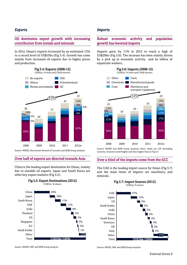#### *Exports*

#### Oil dominates export growth with increasing contribution from metals and minerals

In 2012, Oman's exports increased by an estimated 13% to a record level of US\$53bn (Fig 5.4). Growth has come mainly from increased oil exports due to higher prices and production.



Source: MONE, Directorate General of Customs and QNB Group analysis

#### Over half of exports are directed towards Asia

China is the leading export destination for Oman, mainly due to sizeable oil exports. Japan and South Korea are other key export markets (Fig 5.5).

Fig 5.5: Export Destinations (2012)



Source: MONE, IMF and QNB Group analysis

#### *Imports*

#### Robust economic activity and population growth has boosted imports

Imports grew by 11% in 2012 to reach a high of US\$29bn (Fig 5.6). The increase has been mainly driven by a pick up in economic activity and an inflow of expatriate workers.



Source: MONE and QNB Group analysis; Note: totals are CIF (including customs, insurance and freight) and thus higher than in Fig 5.3

#### Over a third of the imports come from the GCC

The UAE is the leading import source for Oman (Fig 5.7) and the main items of imports are machinery and minerals.



Source: MONE, IMF and QNB Group analysis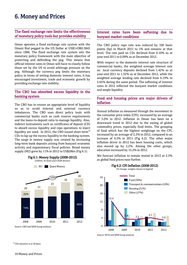# 6. Money and Prices

#### The fixed exchange rate limits the effectiveness of monetary policy tools but provides stability

Oman operates a fixed exchange rate system with the Omani Rial pegged to the US Dollar at US\$1=OR0.3845 since 1986. The fixed exchange rate system sets the monetary policy framework with the main objective of protecting and defending the peg. This means that official interest rates in Oman will have to closely follow those set by the US to avoid arbitrage pressure on the peg. Although the currency peg limits the monetary policy in terms of setting domestic interest rates, it has encouraged investment, trade and economic growth by providing exchange rate stability.

#### The CBO has absorbed excess liquidity in the banking system

The CBO has to ensure an appropriate level of liquidity so as to avoid internal and external currency imbalances. The CBO uses direct policy tools with commercial banks such as cash reserve requirements and the loans-to-deposit ratio to manage liquidity. Also, indirect instruments such as certificates of deposit (CD) to absorb excess liquidity and repo operations to inject liquidity are used. In 2012, the CBO issued short-term<sup>14</sup> CDs to lap up the excess liquidity in the banking system. The surge in money supply was created by increasing long-term bank deposits arising from buoyant economic activity and expansionary fiscal policies. Broad money supply (M2) grew by 11% in 2012 to US\$28bn (Fig 6.1).



<sup>14</sup> CDs maturity is at 28 days.

#### Interest rates have been softening due to buoyant market conditions

The CBO policy repo rate was reduced by 100 basis points (bp) in March 2012 to 1% and remains at that level. The rate paid on CDs declined from 0.10% as at year-end 2011 to 0.09% as at December 2012.

With respect to the domestic interest rate structure of commercial banks, the weighted average interest rate on local currency deposits declined from 1.42% as at year-end 2011 to 1.32% as at December 2012, while the weighted average lending rate declined from 6.19% to 5.65% during the same period. The softening of interest rates in 2012 reflected the buoyant market conditions and ample liquidity.

#### Food and housing prices are major drivers of inflation

Annual inflation as measured through the movement in the consumer price index (CPI), increased by an average of 3.0% in 2012. Inflation in Oman has been on a downward trend in 2012 due to the easing of global commodity prices, especially food items. The grouping of food which has the highest weightage on the CPI, increased by an average of 2.2% in 2012, compared to an increase of 4.5% in 2011 (Fig 6.2). The other major inflation driver in 2012 has been housing costs, which also moved up by 2.2%. Among the other groups, education increased by 15.2% in 2012.

We forecast inflation to remain muted in 2013 at 2.5% as global food prices ease further.



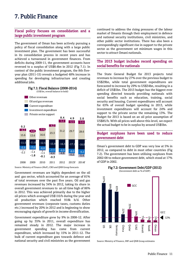# 7. Public Finance

#### Fiscal policy focuses on consolidation and a large public investment program

The government of Oman has been actively pursuing a policy of fiscal consolidation along with a large public investment plan. The government has been successful in its consolidation process in recent years and has achieved a turnaround in government finances. From deficits during 2009-11, the government accounts have reversed to a surplus of US\$8.4bn in 2012 (Fig 7.1). In context of the public investment program, the 8th fiveyear plan (2011-15) reveals a budgeted 48% increase in spending for developing infrastructure and creating additional jobs.



Source: Ministry of Finance (MoF), CBO and QNB Group forecasts

Government revenues are highly dependent on the oil and gas sector, which accounted for an average of 81% of total revenues over the past five years. Oil and gas revenues increased by 34% in 2012, taking its share in overall government revenues to an all time high of 86% in 2012. This was achieved primarily due to the higher oil prices which averaged US\$110/b during the year and oil production which reached 918k b/d. Other government revenues (corporate taxes, customs duties etc.) increased by 20% in 2012 and is beginning to show encouraging signals of growth in income diversification.

Government expenditure grew by 9% in 2008-12. After going up by 35% in 2011, overall expenditure has remained steady in 2012. The major increase in government spending has come from current expenditure, which increased by 15% in 2011-12. The bulk of current expenditure goes towards defence and national security and civil ministries as the government

continued to address the rising pressures of the labour market of Omanis through their employment in defence and national security institutions, civil ministries, and other public sector institutions. There has also been a correspondingly significant rise in support to the private sector as the government set minimum wages in this sector to attract Omani nationals.

#### The 2013 budget includes record spending on social benefits for nationals

The State General Budget for 2013 projects total revenues to increase by 27% over the previous budget to US\$29bn, while total government expenditures are forecasted to increase by 29% to US\$34bn, resulting in a deficit of US\$5bn. The 2013 budget has the biggest ever spending directed towards providing nationals with social benefits such as education, training, social security and housing. Current expenditures will account for 63% of overall budget spending in 2013, while investment expenditures will account for 24% and support to the private sector the remaining 13%. The Budget for 2013 is based on an oil price assumption of US\$85/b. With oil prices well above this level, we expect the actual budget to be in surplus by around US\$5bn.

#### Budget surpluses have been used to reduce government debt

Oman's government debt to GDP was very low at 5% in 2012, as compared to debt in most other countries (Fig 7.2). The government has been utilising surpluses from 2002-08 to reduce government debt, which stood at 17% of GDP in 2002.







Source: Ministry of Finance, IMF and QNB Group estimates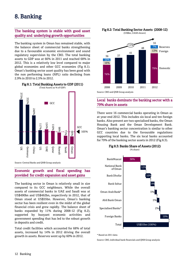# 8. Banking

#### The banking system is stable with good asset quality and underlying growth opportunities

The banking system in Oman has remained stable, with the balance sheet of commercial banks strengthening due to a favourable economic environment and sound regulatory supervision by the CBO. The total banking assets to GDP was at 66% in 2011 and reached 68% in 2012. This is a relatively low level compared to major global economies and other GCC economies (Fig 8.1). Oman's banking sector asset quality has been good with the non performing loans (NPL) ratio declining from 2.9% in 2010 to 2.5% in 2012.

Fig 8.1: Total Banking Assets to GDP (2011)



Source: Central Banks and QNB Group analysis

#### Economic growth and fiscal spending has provided for credit expansion and asset gains

The banking sector in Oman is relatively small in size compared to its GCC neighbours. While the overall assets of commercial banks in UAE and Saudi was at US\$490bn and US\$462bn, respectively in 2012, that of Oman stood at US\$55bn. However, Oman's banking sector has been resilient even in the midst of the global financial crisis and grew rapidly. The balance sheet of banks expanded by 11% during 2008-12 (Fig 8.2), supported by buoyant economic activities and government spending that has led to the robust growth in deposits and credit.

Total credit facilities which accounted for 68% of total assets, increased by 14% in 2012 driving the overall growth in assets. Reserves went up by 60% in 2012.



#### Local banks dominate the banking sector with a 79% share in assets

There were 16 commercial banks operating in Oman as at year-end 2012. This includes six local and ten foreign banks. Also present are two specialised banks, the Oman Housing Bank and the Oman Development Bank. Oman's banking sector concentration is similar to other GCC countries due to the favourable regulations supporting local banks. The six local banks accounted for 79% of the banking sector assets in 2012 (Fig 8.3).





\* Based on 2011 data

Source: CBO, individual bank financials and QNB Group analysis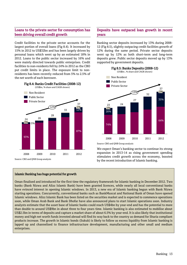#### Loans to the private sector for consumption has been driving overall credit growth

Credit facilities to the private sector accounts for the largest portion of overall loans (Fig 8.4). It increased by 15% in 2012 to US\$32bn and has been largely driven by personal loans which went up by an estimated 18% in 2012. Loans to the public sector increased by 16% and were mainly directed towards public enterprises. Credit facilities to non-residents fell by 24% in 2012 as the CBO put credit limits in place. The exposure limit to nonresidents has been recently reduced from 5% to 2.5% of the net worth of each borrower.



#### Deposits have outpaced loan growth in recent years

Banking sector deposits increased by 13% during 2008- 12 (Fig 8.5), slightly outpacing credit facilities growth of 12% during the same period. Private sector deposits went up by 12% as both short-term and long-term deposits grew. Public sector deposits moved up by 13% supported by government deposits.

Fig 8.5: Banks Deposits (2008-12)



Source: CBO and QNB Group analysis

We expect Oman's banking sector to continue its strong expansion in 2013-14 as rising government spending stimulates credit growth across the economy, boosted by the recent introduction of Islamic banking.

#### Islamic Banking has huge potential for growth

Oman finalised and introduced for the first time the regulatory framework for Islamic banking in December 2012. Two banks (Bank Nizwa and Alizz Islamic Bank) have been granted licences, while nearly all local conventional banks have evinced interest in opening Islamic windows. In 2013, a new era of Islamic banking begun with Bank Nizwa starting operations. Concurrently, conventional banks such as BankMuscat and National Bank of Oman have opened Islamic windows. Alizz Islamic Bank has been listed on the securities market and is expected to commence operations soon, while Oman Arab Bank and Bank Dhofar have also announced plans to start Islamic operations soon. Industry analysts estimate that the asset base of Islamic banks could reach US\$4bn by year-end and has the potential to more than double to around US\$9bn in about three to four years time. Islamic banking is also estimated to mobilise about US\$2.5bn in terms of deposits and capture a market share of about 6.5% by year-end. It is also likely that institutional money and high net worth funds invested abroad will find its way back to the country as demand for Sharia compliant products increase. The growth in Islamic bonds (Sukuk) is likely to follow as excess liquidity from Islamic banking is lapped up and channelised to finance infrastructure development, manufacturing and other small and medium enterprises.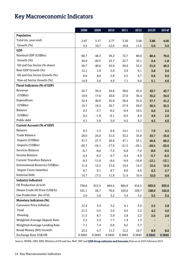# Key Macroeconomic Indicators

|                                  | 2008    | 2009    | 2010    | 2011    | 2012    | 2013f   | 2014f   |
|----------------------------------|---------|---------|---------|---------|---------|---------|---------|
| Population                       |         |         |         |         |         |         |         |
| Total (m, year end)              | 2.87    | 3.17    | 2.77    | 3.30    | 3.68    | 3.86    | 4.05    |
| Growth (%)                       | 4.5     | 10.7    | $-12.6$ | 18.8    | 11.5    | 5.0     | 5.0     |
| <b>GDP</b>                       |         |         |         |         |         |         |         |
| Nominal GDP (US\$bn)             | 60.7    | 48.3    | 59.2    | 72.7    | 80.0    | 80.4    | 79.0    |
| Growth (%)                       | 44.9    | $-20.5$ | 22.7    | 22.7    | 10.1    | 0.4     | $-1.8$  |
| Oil and Gas Sector (% share)     | 50.7    | 40.0    | 45.8    | 50.9    | 52.5    | 51.0    | 49.3    |
| Real GDP Growth (%)              | 13.1    | 3.9     | 5.0     | 5.9     | 6.1     | 3.8     | 3.0     |
| Oil and Gas Sector Growth (%)    | 8.6     | 8.0     | 5.8     | 2.5     | 6.7     | 0.6     | 0.0     |
| Non-oil Sector Growth (%)        | 14.9    | 3.6     | 4.9     | 7.1     | 6.0     | 5.1     | 4.6     |
| Fiscal Indicators (% of GDP)     |         |         |         |         |         |         |         |
| Revenue                          | 32.7    | 36.4    | 34.8    | 38.0    | 45.4    | 43.7    | 43.7    |
| (US\$bh)                         | 19.9    | 17.6    | 20.6    | 27.6    | 36.4    | 35.2    | 34.5    |
| Expenditure                      | 32.4    | 40.0    | 35.0    | 38.4    | 35.0    | 37.7    | 41.2    |
| (US\$bh)                         | 19.7    | 19.3    | 20.7    | 27.9    | 28.0    | 30.3    | 32.5    |
| <b>Balance</b>                   | 0.3     | $-3.7$  | $-0.2$  | $-0.4$  | 10.5    | 6.0     | 2.5     |
| (US\$bh)                         | 0.2     | $-1.8$  | $-0.1$  | $-0.3$  | 8.4     | 4.9     | 2.0     |
| Public debt                      | 4.1     | 5.6     | 5.0     | 4.5     | 4.3     | 4.2     | 4.0     |
| Current Account (% of GDP)       |         |         |         |         |         |         |         |
| <b>Balance</b>                   | 8.3     | $-1.3$  | 9.9     | 14.1    | 11.1    | 7.9     | 4.5     |
| <b>Trade Balance</b>             | 28.0    | 24.0    | 31.6    | 35.2    | 33.8    | 33.7    | 33.6    |
| Exports (US\$bn)                 | 37.7    | 27.7    | 36.6    | 47.1    | 53.1    | 56.6    | 60.2    |
| Imports (US\$bn)                 | $-20.7$ | $-16.1$ | $-17.9$ | $-21.5$ | $-26.1$ | $-29.5$ | $-33.6$ |
| Services Balance                 | $-6.7$  | $-8.0$  | $-7.4$  | $-6.8$  | $-7.0$  | $-8.0$  | $-9.5$  |
| <b>Income Balance</b>            | $-4.5$  | $-6.3$  | $-4.7$  | $-4.4$  | $-4.9$  | $-5.7$  | $-6.5$  |
| <b>Current Transfers Balance</b> | $-8.5$  | $-11.0$ | $-9.6$  | $-9.9$  | $-10.8$ | $-12.1$ | $-13.1$ |
| International Reserves (US\$bn)  | 11.6    | 12.2    | 13.0    | 14.4    | 14.3    | 15.4    | 15.9    |
| <b>Import Cover (months)</b>     | 6.7     | 9.1     | 8.7     | 8.0     | 6.6     | 6.3     | 5.7     |
| <b>External Debt</b>             | 14.7    | 17.5    | 11.8    | 11.4    | 10.4    | 10.0    | 9.8     |
| <b>Industry Indicators</b>       |         |         |         |         |         |         |         |
| Oil Production (k b/d)           | 758.8   | 812.5   | 864.6   | 884.9   | 918.5   | 935.0   | 935.0   |
| Omani Crude Oil Price (US\$/b)   | 101.1   | 56.7    | 76.6    | 103.0   | 109.7   | 108.0   | 102.0   |
| Gas Production (bn cf/d)         | 2.9     | $3.0\,$ | 3.2     | 3.4     | 3.5     | 3.5     | 3.5     |
| Monetary indicators (%)          |         |         |         |         |         |         |         |
| <b>Consumer Price Inflation</b>  | 12.4    | 3.4     | 3.2     | 4.1     | 3.0     | 2.5     | 2.8     |
| Food                             | 21.5    | 0.5     | 2.0     | 4.5     | 2.2     | 4.2     | 4.0     |
| Housing                          | 11.5    | 8.7     | 3.9     | 2.8     | 2.2     | 2.5     | 2.8     |
| Weighted Average Deposit Rate    | 2.5     | 2.2     | 1.7     | 1.4     | 1.3     |         |         |
| Weighted Average Lending Rate    | 7.1     | 7.4     | 6.8     | 6.2     | 5.7     |         |         |
| Broad Money (M2) Growth          | 23.3    | 4.7     | 11.3    | 12.2    | 10.7    | 8.3     | 8.0     |
| Exchange Rate US\$:OR            | 0.3845  | 0.3845  | 0.3845  | 0.3845  | 0.3845  | 0.3845  | 0.3845  |

Source: MONE, CBO, NBS, Ministry of Oil and Gas, MoF, IMF and QNB Group estimates and forecasts; Data as at 25th February 2013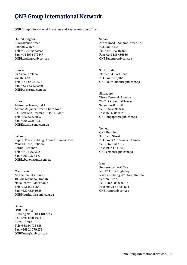# QNB Group International Network

QNB Group International Branches and Representative Offices

United Kingdom 51GrosvenorStreet London W1K 3HH [Tel:](Tel:+44) +44 207 6472600 Fax: +44 207 6472647 [QNBLondon@qnb.com.qa](mailto:QNBLondon@qnb.com.qa)

France 65 Avenue d'lena 75116 Paris Tel: +33 1 53 23 0077 Fax: +33 1 53 23 0070 QNBParis@qnb.com.qa

Kuwait Al-Arabia Tower, Bld 4 Ahmad Al-Jaber Street, Sharq Area P.O. Box: 583, Dasman 15456 Kuwait Tel: +965 2226 7023 Fax: +965 2226 7051 QNBKuwait@qnb.com.qa

Lebanon Capital Plaza Building, Ahmad Shawki Street Mina El Hosn, Solidere Beirut – Lebanon Tel: +961 1 762 222 Fax: +961 1 377 177 [QNBLebanon@qnb.com.qa](mailto:QNBLebanon@qnb.com.qa)

Mauritania Al Khaima City Center 10, Rue Mamadou Konate Nouakchott – Mauritania Tel: +222 4524 9651 Fax: +222 4524 9655 [QNBMauritania@qnb.com.qa](mailto:QNBMauritania@qnb.com.qa)

Oman QNB Building Building No:1540, CBD Area P.O. Box: 4050, PC 112 Ruwi – Oman Tel: +968 24 725 555 Fax: +968 24 779 233 QNBOman@qnb.com.qa

Sudan Africa Road – Amarat Street No. 9 P.O. Box: 8134 Tel: +249 183 480000 Fax: +249 183 486666 QNBSudan@qnb.com.qa

South Sudan Plot No 64, Port Road P.O. Box: 587 Juba [QNBSouthSudan@qnb.com.qa](mailto:QNBSouthSudan@qnb.com.qa)

Singapore Three Temasek Avenue 27-01, Centennial Tower Singapore 039190 Tel: +65 6499 0866 Fax: +65 6884 9679 [QNBSingapore@qnb.com.qa](mailto:QNBSingapore@qnb.com.qa)

Yemen QNB Building Alzubairi Street P.O. Box: 4310 Sana'a – Yemen Tel: +967 1 517 517 Fax: +967 1 517 666 [QNBYemen@qnb.com.qa](mailto:QNBYemen@qnb.com.qa)

Iran Representative Office No. 17 Africa Highway Navak Building, 6<sup>th</sup> Floor, Unit 14 Tehran – Iran Tel: +98 21 88 889 814 Fax: +98 21 88 889 824 [QNBIran@qnb.com.qa](mailto:QNBIran@qnb.com.qa)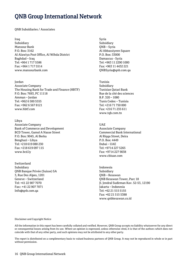# QNB Group International Network

QNB Subsidiaries / Associates

Iraq Subsidiary Mansour Bank P.O. Box: 3162 Al Alawiya Post Office, Al Wihda District Baghdad – Iraq Tel: +964 1 717 5586 Fax: +964 1 717 5514 [www.mansourbank.com](http://www.mansourbank.com/)

Jordan

Associate Company The Housing Bank for Trade and Finance (HBTF) P.O. Box: 7693, PC 11118 Amman – Jordan Tel: +962 6 500 5555 Fax: +962 6 567 8121 [www.hbtf.com](http://www.hbtf.com/)

Libya

Associate Company Bank of Commerce and Development BCD Tower, Gamol A Nasse Street P.O. Box: 9045, Al Berka Benghazi – Libya Tel: +218 619 080 230 Fax: +218 619 097 115 [www.bcd.ly](http://www.bcd.ly/)

Switzerland Subsidiary QNB Banque Privée (Suisse) SA 3, Rue Des Alpes, 1201 Geneve – Switzerland Tel: +41 22 907 7070 Fax:: +41 22 907 7071 [Info@qnb.com.qa](mailto:Info@qnb.com.qa)

Syria Subsidiary QNB – Syria Al Abbassiyeen Square P.O. Box: 33000 Damascus - Syria Tel: +963 11 2290 1000 Fax: +963 11 4432 221 QNBSyria@qnb.com.qa

Tunisia Subsidiary Tunisian Qatari Bank Rue de la cité des sciences B.P. 320 – 1080 Tunis Cedex – Tunisia Tel: +216 71 750 000 Fax: +216 71 235 611 [www.tqb.com.tn](http://www.tqb.com.tn/)

UAE Associate Company Commercial Bank International Al Riqqa Street, Deira P.O. Box: 4449 Dubai – UAE Tel: +9714 227 5265 Fax: +9714 227 9038 [www.cbiuae.com](http://www.cbiuae.com/)

Indonesia Subsidiary QNB – Kesawan QNB Kesawan Tower, Parc 18 Jl. Jendral Sudirman Kav. 52-53, 12190 Jakarta – Indonesia Tel: +62 21 515 5155 Fax: +62 21 515 5388 [www.qnbkesawan.co.id](http://www.qnbkesawan.co.id/)

Disclaimer and Copyright Notice

All the information in this report has been carefully collated and verified. However, QNB Group accepts no liability whatsoever for any direct or consequential losses arising from its use. Where an opinion is expressed, unless otherwise cited, it is that of the authors which does not coincide with that of any other party, and such opinions may not be attributed to any other party.

The report is distributed on a complimentary basis to valued business partners of QNB Group. It may not be reproduced in whole or in part without permission.